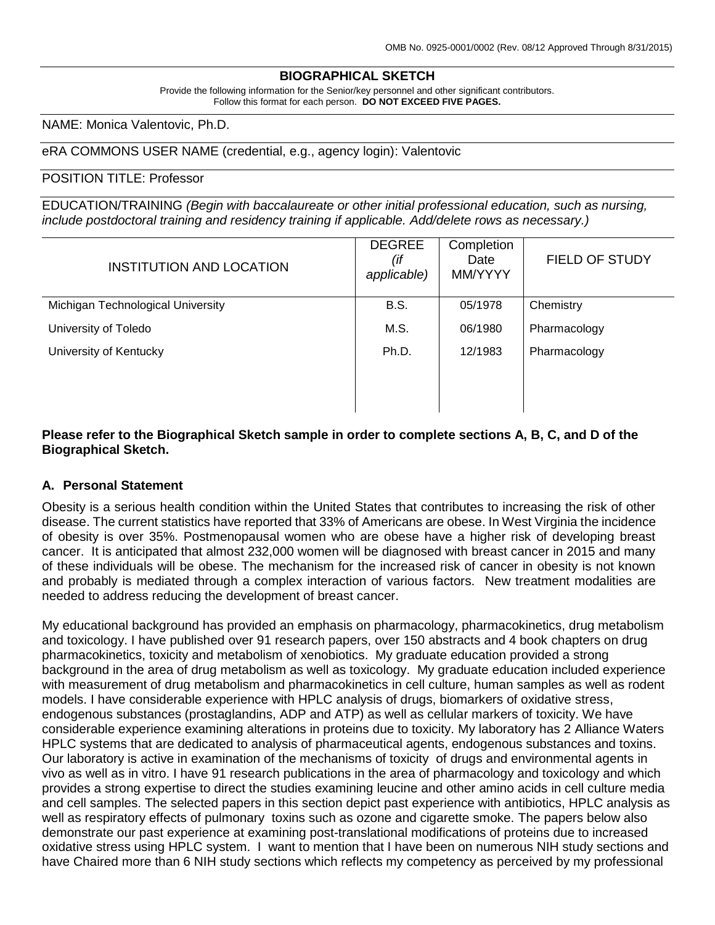## **BIOGRAPHICAL SKETCH**

Provide the following information for the Senior/key personnel and other significant contributors. Follow this format for each person. **DO NOT EXCEED FIVE PAGES.**

NAME: Monica Valentovic, Ph.D.

### eRA COMMONS USER NAME (credential, e.g., agency login): Valentovic

#### POSITION TITLE: Professor

EDUCATION/TRAINING *(Begin with baccalaureate or other initial professional education, such as nursing, include postdoctoral training and residency training if applicable. Add/delete rows as necessary.)*

| INSTITUTION AND LOCATION          | <b>DEGREE</b><br>(if<br>applicable) | Completion<br>Date<br>MM/YYYY | <b>FIELD OF STUDY</b> |
|-----------------------------------|-------------------------------------|-------------------------------|-----------------------|
| Michigan Technological University | <b>B.S.</b>                         | 05/1978                       | Chemistry             |
| University of Toledo              | M.S.                                | 06/1980                       | Pharmacology          |
| University of Kentucky            | Ph.D.                               | 12/1983                       | Pharmacology          |
|                                   |                                     |                               |                       |

## **Please refer to the Biographical Sketch sample in order to complete sections A, B, C, and D of the Biographical Sketch.**

### **A. Personal Statement**

Obesity is a serious health condition within the United States that contributes to increasing the risk of other disease. The current statistics have reported that 33% of Americans are obese. In West Virginia the incidence of obesity is over 35%. Postmenopausal women who are obese have a higher risk of developing breast cancer. It is anticipated that almost 232,000 women will be diagnosed with breast cancer in 2015 and many of these individuals will be obese. The mechanism for the increased risk of cancer in obesity is not known and probably is mediated through a complex interaction of various factors. New treatment modalities are needed to address reducing the development of breast cancer.

My educational background has provided an emphasis on pharmacology, pharmacokinetics, drug metabolism and toxicology. I have published over 91 research papers, over 150 abstracts and 4 book chapters on drug pharmacokinetics, toxicity and metabolism of xenobiotics. My graduate education provided a strong background in the area of drug metabolism as well as toxicology. My graduate education included experience with measurement of drug metabolism and pharmacokinetics in cell culture, human samples as well as rodent models. I have considerable experience with HPLC analysis of drugs, biomarkers of oxidative stress, endogenous substances (prostaglandins, ADP and ATP) as well as cellular markers of toxicity. We have considerable experience examining alterations in proteins due to toxicity. My laboratory has 2 Alliance Waters HPLC systems that are dedicated to analysis of pharmaceutical agents, endogenous substances and toxins. Our laboratory is active in examination of the mechanisms of toxicity of drugs and environmental agents in vivo as well as in vitro. I have 91 research publications in the area of pharmacology and toxicology and which provides a strong expertise to direct the studies examining leucine and other amino acids in cell culture media and cell samples. The selected papers in this section depict past experience with antibiotics, HPLC analysis as well as respiratory effects of pulmonary toxins such as ozone and cigarette smoke. The papers below also demonstrate our past experience at examining post-translational modifications of proteins due to increased oxidative stress using HPLC system. I want to mention that I have been on numerous NIH study sections and have Chaired more than 6 NIH study sections which reflects my competency as perceived by my professional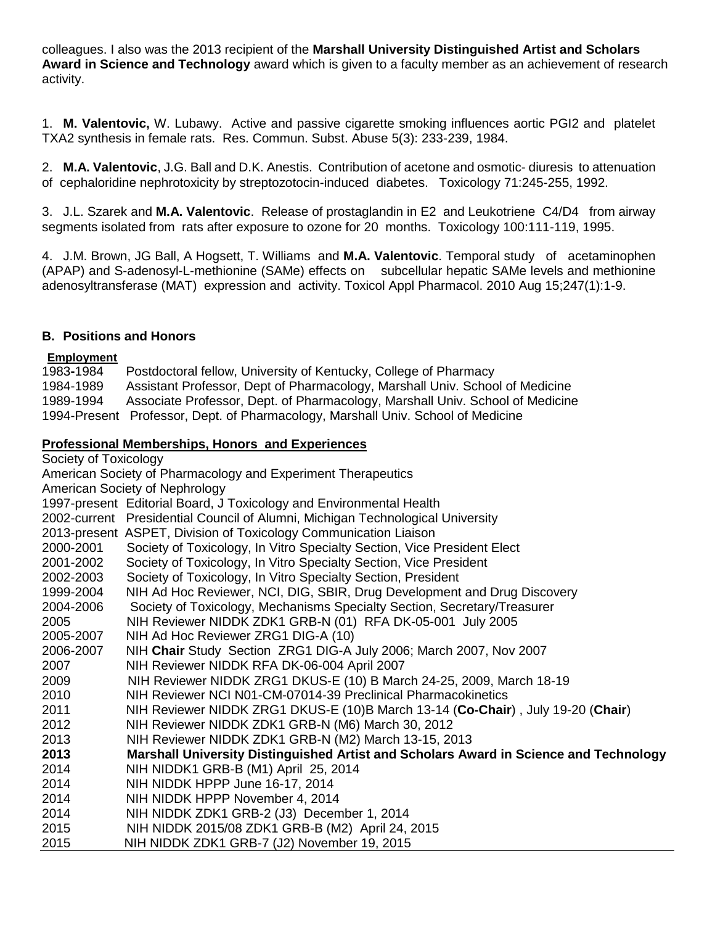colleagues. I also was the 2013 recipient of the **Marshall University Distinguished Artist and Scholars Award in Science and Technology** award which is given to a faculty member as an achievement of research activity.

1. **M. Valentovic,** W. Lubawy. Active and passive cigarette smoking influences aortic PGI2 and platelet TXA2 synthesis in female rats. Res. Commun. Subst. Abuse 5(3): 233-239, 1984.

2. **M.A. Valentovic**, J.G. Ball and D.K. Anestis. Contribution of acetone and osmotic- diuresis to attenuation of cephaloridine nephrotoxicity by streptozotocin-induced diabetes. Toxicology 71:245-255, 1992.

3. J.L. Szarek and **M.A. Valentovic**. Release of prostaglandin in E2 and Leukotriene C4/D4 from airway segments isolated from rats after exposure to ozone for 20 months. Toxicology 100:111-119, 1995.

4. J.M. Brown, JG Ball, A Hogsett, T. Williams and **M.A. Valentovic**. Temporal study of acetaminophen (APAP) and S-adenosyl-L-methionine (SAMe) effects on subcellular hepatic SAMe levels and methionine adenosyltransferase (MAT) expression and activity. Toxicol Appl Pharmacol. 2010 Aug 15;247(1):1-9.

## **B. Positions and Honors**

### **Employment**

1983**-**1984 Postdoctoral fellow, University of Kentucky, College of Pharmacy 1984-1989 Assistant Professor, Dept of Pharmacology, Marshall Univ. School of Medicine 1989-1994 Associate Professor, Dept. of Pharmacology, Marshall Univ. School of Medicine 1994-Present Professor, Dept. of Pharmacology, Marshall Univ. School of Medicine

## **Professional Memberships, Honors and Experiences**

Society of Toxicology American Society of Pharmacology and Experiment Therapeutics American Society of Nephrology 1997-present Editorial Board, J Toxicology and Environmental Health 2002-current Presidential Council of Alumni, Michigan Technological University 2013-present ASPET, Division of Toxicology Communication Liaison 2000-2001 Society of Toxicology, In Vitro Specialty Section, Vice President Elect 2001-2002 Society of Toxicology, In Vitro Specialty Section, Vice President 2002-2003 Society of Toxicology, In Vitro Specialty Section, President 1999-2004 NIH Ad Hoc Reviewer, NCI, DIG, SBIR, Drug Development and Drug Discovery 2004-2006 Society of Toxicology, Mechanisms Specialty Section, Secretary/Treasurer 2005 NIH Reviewer NIDDK ZDK1 GRB-N (01) RFA DK-05-001 July 2005 2005-2007 NIH Ad Hoc Reviewer ZRG1 DIG-A (10) 2006-2007 NIH **Chair** Study Section ZRG1 DIG-A July 2006; March 2007, Nov 2007 2007 NIH Reviewer NIDDK RFA DK-06-004 April 2007 2009 NIH Reviewer NIDDK ZRG1 DKUS-E (10) B March 24-25, 2009, March 18-19 2010 NIH Reviewer NCI N01-CM-07014-39 Preclinical Pharmacokinetics 2011 NIH Reviewer NIDDK ZRG1 DKUS-E (10)B March 13-14 (**Co-Chair**) , July 19-20 (**Chair**) 2012 NIH Reviewer NIDDK ZDK1 GRB-N (M6) March 30, 2012 2013 NIH Reviewer NIDDK ZDK1 GRB-N (M2) March 13-15, 2013 **2013 Marshall University Distinguished Artist and Scholars Award in Science and Technology** 2014 NIH NIDDK1 GRB-B (M1) April 25, 2014 2014 NIH NIDDK HPPP June 16-17, 2014 2014 NIH NIDDK HPPP November 4, 2014 2014 NIH NIDDK ZDK1 GRB-2 (J3) December 1, 2014 2015 NIH NIDDK 2015/08 ZDK1 GRB-B (M2) April 24, 2015 2015 NIH NIDDK ZDK1 GRB-7 (J2) November 19, 2015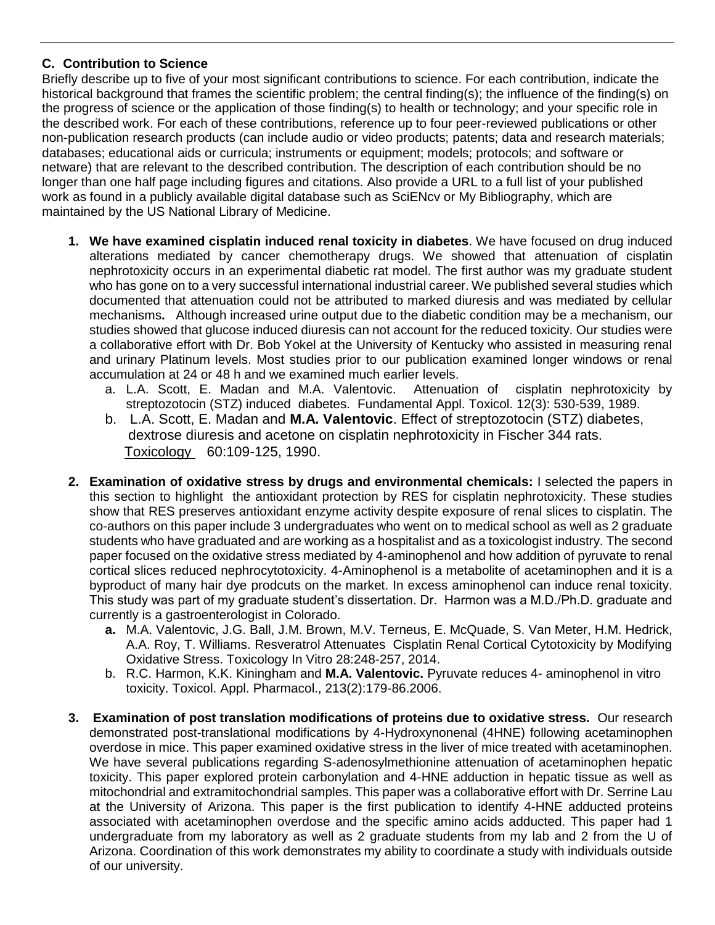# **C. Contribution to Science**

Briefly describe up to five of your most significant contributions to science. For each contribution, indicate the historical background that frames the scientific problem; the central finding(s); the influence of the finding(s) on the progress of science or the application of those finding(s) to health or technology; and your specific role in the described work. For each of these contributions, reference up to four peer-reviewed publications or other non-publication research products (can include audio or video products; patents; data and research materials; databases; educational aids or curricula; instruments or equipment; models; protocols; and software or netware) that are relevant to the described contribution. The description of each contribution should be no longer than one half page including figures and citations. Also provide a URL to a full list of your published work as found in a publicly available digital database such as SciENcv or My Bibliography, which are maintained by the US National Library of Medicine.

- **1. We have examined cisplatin induced renal toxicity in diabetes**. We have focused on drug induced alterations mediated by cancer chemotherapy drugs. We showed that attenuation of cisplatin nephrotoxicity occurs in an experimental diabetic rat model. The first author was my graduate student who has gone on to a very successful international industrial career. We published several studies which documented that attenuation could not be attributed to marked diuresis and was mediated by cellular mechanisms**.** Although increased urine output due to the diabetic condition may be a mechanism, our studies showed that glucose induced diuresis can not account for the reduced toxicity. Our studies were a collaborative effort with Dr. Bob Yokel at the University of Kentucky who assisted in measuring renal and urinary Platinum levels. Most studies prior to our publication examined longer windows or renal accumulation at 24 or 48 h and we examined much earlier levels.<br>a. L.A. Scott, E. Madan and M.A. Valentovic. Attenuation of cisplatin nephrotoxicity by
	- a. L.A. Scott, E. Madan and M.A. Valentovic. streptozotocin (STZ) induced diabetes. Fundamental Appl. Toxicol. 12(3): 530-539, 1989.
	- b. L.A. Scott, E. Madan and **M.A. Valentovic**. Effect of streptozotocin (STZ) diabetes, dextrose diuresis and acetone on cisplatin nephrotoxicity in Fischer 344 rats. Toxicology 60:109-125, 1990.
- **2. Examination of oxidative stress by drugs and environmental chemicals:** I selected the papers in this section to highlight the antioxidant protection by RES for cisplatin nephrotoxicity. These studies show that RES preserves antioxidant enzyme activity despite exposure of renal slices to cisplatin. The co-authors on this paper include 3 undergraduates who went on to medical school as well as 2 graduate students who have graduated and are working as a hospitalist and as a toxicologist industry. The second paper focused on the oxidative stress mediated by 4-aminophenol and how addition of pyruvate to renal cortical slices reduced nephrocytotoxicity. 4-Aminophenol is a metabolite of acetaminophen and it is a byproduct of many hair dye prodcuts on the market. In excess aminophenol can induce renal toxicity. This study was part of my graduate student's dissertation. Dr. Harmon was a M.D./Ph.D. graduate and currently is a gastroenterologist in Colorado.
	- **a.** M.A. Valentovic, J.G. Ball, J.M. Brown, M.V. Terneus, E. McQuade, S. Van Meter, H.M. Hedrick, A.A. Roy, T. Williams. Resveratrol Attenuates Cisplatin Renal Cortical Cytotoxicity by Modifying Oxidative Stress. Toxicology In Vitro 28:248-257, 2014.
	- b. R.C. Harmon, K.K. Kiningham and **M.A. Valentovic.** Pyruvate reduces 4- aminophenol in vitro toxicity. Toxicol. Appl. Pharmacol., 213(2):179-86.2006.
- **3. Examination of post translation modifications of proteins due to oxidative stress.** Our research demonstrated post-translational modifications by 4-Hydroxynonenal (4HNE) following acetaminophen overdose in mice. This paper examined oxidative stress in the liver of mice treated with acetaminophen. We have several publications regarding S-adenosylmethionine attenuation of acetaminophen hepatic toxicity. This paper explored protein carbonylation and 4-HNE adduction in hepatic tissue as well as mitochondrial and extramitochondrial samples. This paper was a collaborative effort with Dr. Serrine Lau at the University of Arizona. This paper is the first publication to identify 4-HNE adducted proteins associated with acetaminophen overdose and the specific amino acids adducted. This paper had 1 undergraduate from my laboratory as well as 2 graduate students from my lab and 2 from the U of Arizona. Coordination of this work demonstrates my ability to coordinate a study with individuals outside of our university.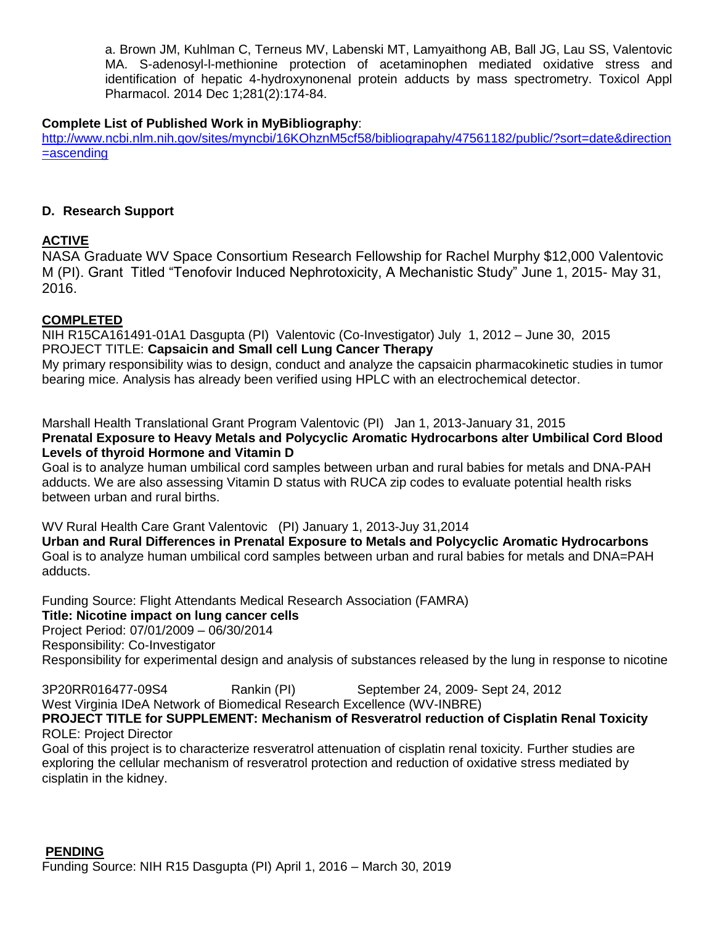a. Brown JM, Kuhlman C, Terneus MV, Labenski MT, Lamyaithong AB, Ball JG, Lau SS, Valentovic MA. S-adenosyl-l-methionine protection of acetaminophen mediated oxidative stress and identification of hepatic 4-hydroxynonenal protein adducts by mass spectrometry. Toxicol Appl Pharmacol. 2014 Dec 1;281(2):174-84.

# **Complete List of Published Work in MyBibliography**:

[http://www.ncbi.nlm.nih.gov/sites/myncbi/16KOhznM5cf58/bibliograpahy/47561182/public/?sort=date&direction](http://www.ncbi.nlm.nih.gov/sites/myncbi/16KOhznM5cf58/bibliograpahy/47561182/public/?sort=date&direction=ascending) [=ascending](http://www.ncbi.nlm.nih.gov/sites/myncbi/16KOhznM5cf58/bibliograpahy/47561182/public/?sort=date&direction=ascending)

## **D. Research Support**

# **ACTIVE**

NASA Graduate WV Space Consortium Research Fellowship for Rachel Murphy \$12,000 Valentovic M (PI). Grant Titled "Tenofovir Induced Nephrotoxicity, A Mechanistic Study" June 1, 2015- May 31, 2016.

## **COMPLETED**

NIH R15CA161491-01A1 Dasgupta (PI) Valentovic (Co-Investigator) July 1, 2012 – June 30, 2015 PROJECT TITLE: **Capsaicin and Small cell Lung Cancer Therapy**

My primary responsibility wias to design, conduct and analyze the capsaicin pharmacokinetic studies in tumor bearing mice. Analysis has already been verified using HPLC with an electrochemical detector.

Marshall Health Translational Grant Program Valentovic (PI) Jan 1, 2013-January 31, 2015 **Prenatal Exposure to Heavy Metals and Polycyclic Aromatic Hydrocarbons alter Umbilical Cord Blood Levels of thyroid Hormone and Vitamin D**

Goal is to analyze human umbilical cord samples between urban and rural babies for metals and DNA-PAH adducts. We are also assessing Vitamin D status with RUCA zip codes to evaluate potential health risks between urban and rural births.

WV Rural Health Care Grant Valentovic (PI) January 1, 2013-Juy 31,2014

**Urban and Rural Differences in Prenatal Exposure to Metals and Polycyclic Aromatic Hydrocarbons** Goal is to analyze human umbilical cord samples between urban and rural babies for metals and DNA=PAH adducts.

Funding Source: Flight Attendants Medical Research Association (FAMRA) **Title: Nicotine impact on lung cancer cells** Project Period: 07/01/2009 – 06/30/2014 Responsibility: Co-Investigator Responsibility for experimental design and analysis of substances released by the lung in response to nicotine

3P20RR016477-09S4 Rankin (PI) September 24, 2009- Sept 24, 2012 West Virginia IDeA Network of Biomedical Research Excellence (WV-INBRE)

## **PROJECT TITLE for SUPPLEMENT: Mechanism of Resveratrol reduction of Cisplatin Renal Toxicity** ROLE: Project Director

Goal of this project is to characterize resveratrol attenuation of cisplatin renal toxicity. Further studies are exploring the cellular mechanism of resveratrol protection and reduction of oxidative stress mediated by cisplatin in the kidney.